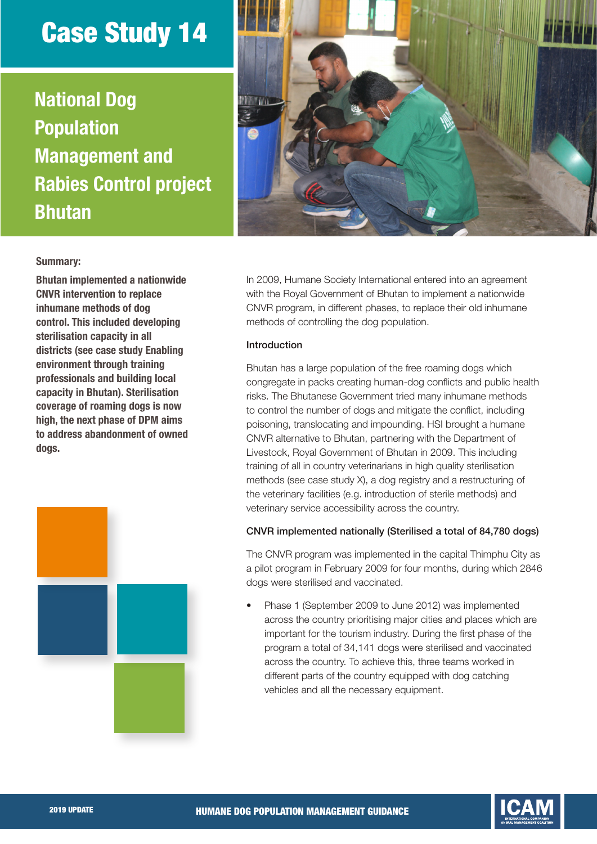# Case Study 14

National Dog **Population** Management and Rabies Control project Bhutan



## Summary:

Bhutan implemented a nationwide CNVR intervention to replace inhumane methods of dog control. This included developing sterilisation capacity in all districts (see case study Enabling environment through training professionals and building local capacity in Bhutan). Sterilisation coverage of roaming dogs is now high, the next phase of DPM aims to address abandonment of owned dogs.



In 2009, Humane Society International entered into an agreement with the Royal Government of Bhutan to implement a nationwide CNVR program, in different phases, to replace their old inhumane methods of controlling the dog population.

## Introduction

Bhutan has a large population of the free roaming dogs which congregate in packs creating human-dog conflicts and public health risks. The Bhutanese Government tried many inhumane methods to control the number of dogs and mitigate the conflict, including poisoning, translocating and impounding. HSI brought a humane CNVR alternative to Bhutan, partnering with the Department of Livestock, Royal Government of Bhutan in 2009. This including training of all in country veterinarians in high quality sterilisation methods (see case study X), a dog registry and a restructuring of the veterinary facilities (e.g. introduction of sterile methods) and veterinary service accessibility across the country.

#### CNVR implemented nationally (Sterilised a total of 84,780 dogs)

The CNVR program was implemented in the capital Thimphu City as a pilot program in February 2009 for four months, during which 2846 dogs were sterilised and vaccinated.

• Phase 1 (September 2009 to June 2012) was implemented across the country prioritising major cities and places which are important for the tourism industry. During the first phase of the program a total of 34,141 dogs were sterilised and vaccinated across the country. To achieve this, three teams worked in different parts of the country equipped with dog catching vehicles and all the necessary equipment.